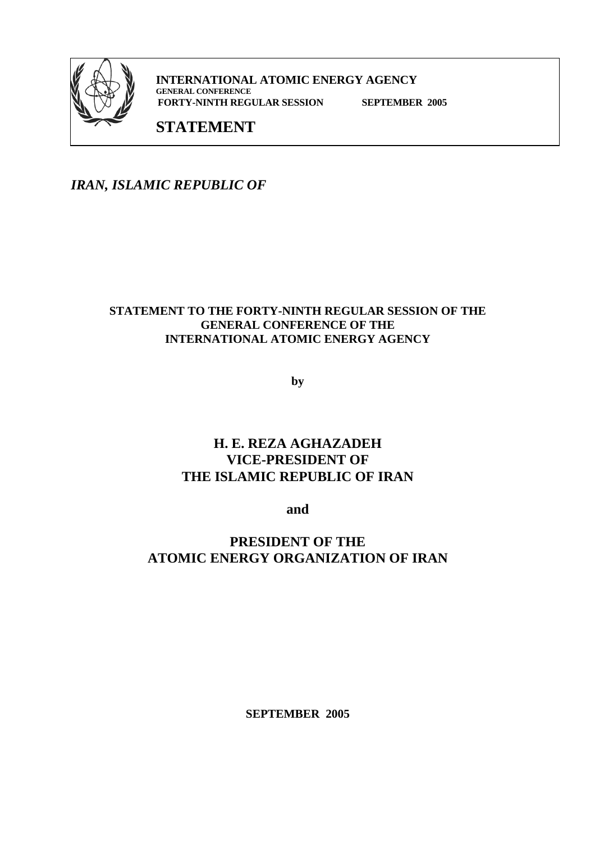

**INTERNATIONAL ATOMIC ENERGY AGENCY GENERAL CONFERENCE FORTY-NINTH REGULAR SESSION SEPTEMBER 2005** 

# **STATEMENT**

*IRAN, ISLAMIC REPUBLIC OF* 

#### **STATEMENT TO THE FORTY-NINTH REGULAR SESSION OF THE GENERAL CONFERENCE OF THE INTERNATIONAL ATOMIC ENERGY AGENCY**

**by** 

# **H. E. REZA AGHAZADEH VICE-PRESIDENT OF THE ISLAMIC REPUBLIC OF IRAN**

**and** 

**PRESIDENT OF THE ATOMIC ENERGY ORGANIZATION OF IRAN**

**SEPTEMBER 2005**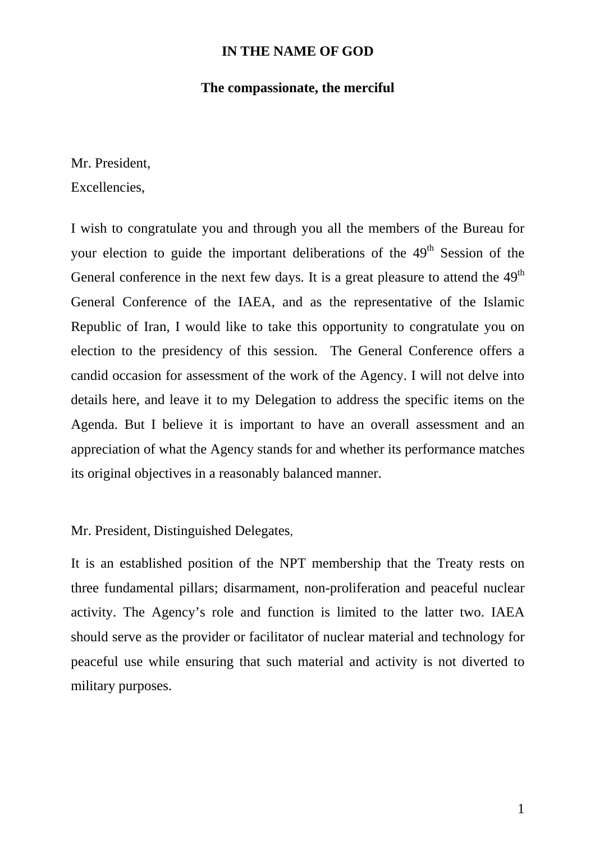### **IN THE NAME OF GOD**

#### **The compassionate, the merciful**

Mr. President,

Excellencies,

I wish to congratulate you and through you all the members of the Bureau for your election to guide the important deliberations of the  $49<sup>th</sup>$  Session of the General conference in the next few days. It is a great pleasure to attend the  $49<sup>th</sup>$ General Conference of the IAEA, and as the representative of the Islamic Republic of Iran, I would like to take this opportunity to congratulate you on election to the presidency of this session.The General Conference offers a candid occasion for assessment of the work of the Agency. I will not delve into details here, and leave it to my Delegation to address the specific items on the Agenda. But I believe it is important to have an overall assessment and an appreciation of what the Agency stands for and whether its performance matches its original objectives in a reasonably balanced manner.

Mr. President, Distinguished Delegates,

It is an established position of the NPT membership that the Treaty rests on three fundamental pillars; disarmament, non-proliferation and peaceful nuclear activity. The Agency's role and function is limited to the latter two. IAEA should serve as the provider or facilitator of nuclear material and technology for peaceful use while ensuring that such material and activity is not diverted to military purposes.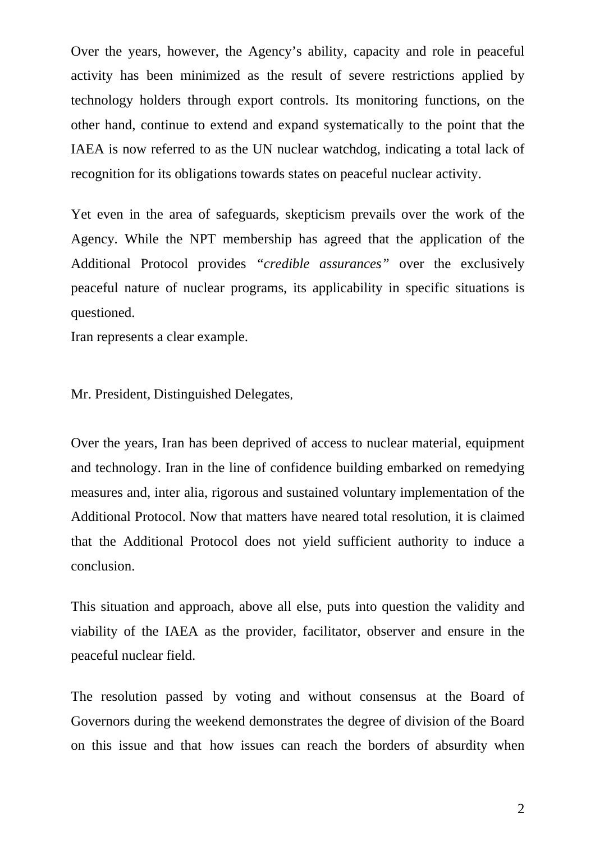Over the years, however, the Agency's ability, capacity and role in peaceful activity has been minimized as the result of severe restrictions applied by technology holders through export controls. Its monitoring functions, on the other hand, continue to extend and expand systematically to the point that the IAEA is now referred to as the UN nuclear watchdog, indicating a total lack of recognition for its obligations towards states on peaceful nuclear activity.

Yet even in the area of safeguards, skepticism prevails over the work of the Agency. While the NPT membership has agreed that the application of the Additional Protocol provides *"credible assurances"* over the exclusively peaceful nature of nuclear programs, its applicability in specific situations is questioned.

Iran represents a clear example.

Mr. President, Distinguished Delegates,

Over the years, Iran has been deprived of access to nuclear material, equipment and technology. Iran in the line of confidence building embarked on remedying measures and, inter alia, rigorous and sustained voluntary implementation of the Additional Protocol. Now that matters have neared total resolution, it is claimed that the Additional Protocol does not yield sufficient authority to induce a conclusion.

This situation and approach, above all else, puts into question the validity and viability of the IAEA as the provider, facilitator, observer and ensure in the peaceful nuclear field.

The resolution passed by voting and without consensus at the Board of Governors during the weekend demonstrates the degree of division of the Board on this issue and that how issues can reach the borders of absurdity when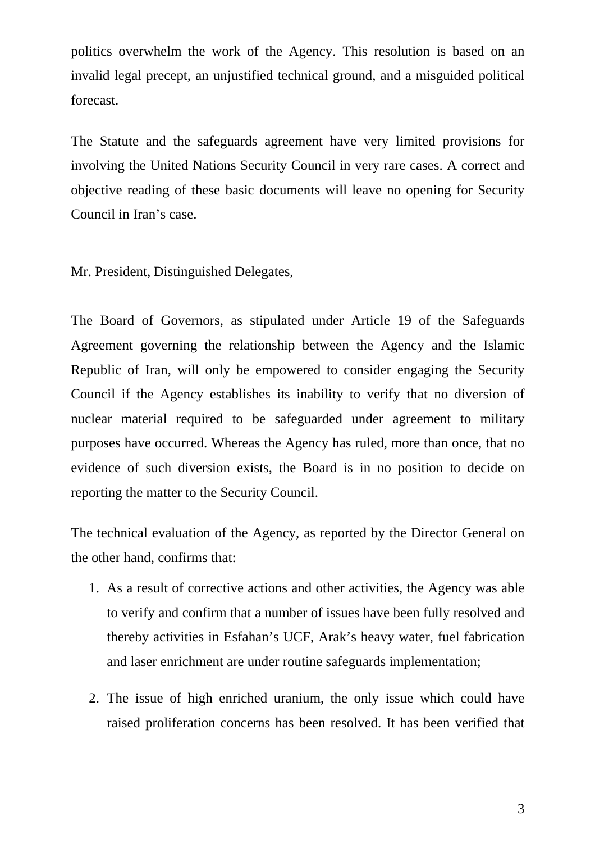politics overwhelm the work of the Agency. This resolution is based on an invalid legal precept, an unjustified technical ground, and a misguided political forecast.

The Statute and the safeguards agreement have very limited provisions for involving the United Nations Security Council in very rare cases. A correct and objective reading of these basic documents will leave no opening for Security Council in Iran's case.

Mr. President, Distinguished Delegates,

The Board of Governors, as stipulated under Article 19 of the Safeguards Agreement governing the relationship between the Agency and the Islamic Republic of Iran, will only be empowered to consider engaging the Security Council if the Agency establishes its inability to verify that no diversion of nuclear material required to be safeguarded under agreement to military purposes have occurred. Whereas the Agency has ruled, more than once, that no evidence of such diversion exists, the Board is in no position to decide on reporting the matter to the Security Council.

The technical evaluation of the Agency, as reported by the Director General on the other hand, confirms that:

- 1. As a result of corrective actions and other activities, the Agency was able to verify and confirm that a number of issues have been fully resolved and thereby activities in Esfahan's UCF, Arak's heavy water, fuel fabrication and laser enrichment are under routine safeguards implementation;
- 2. The issue of high enriched uranium, the only issue which could have raised proliferation concerns has been resolved. It has been verified that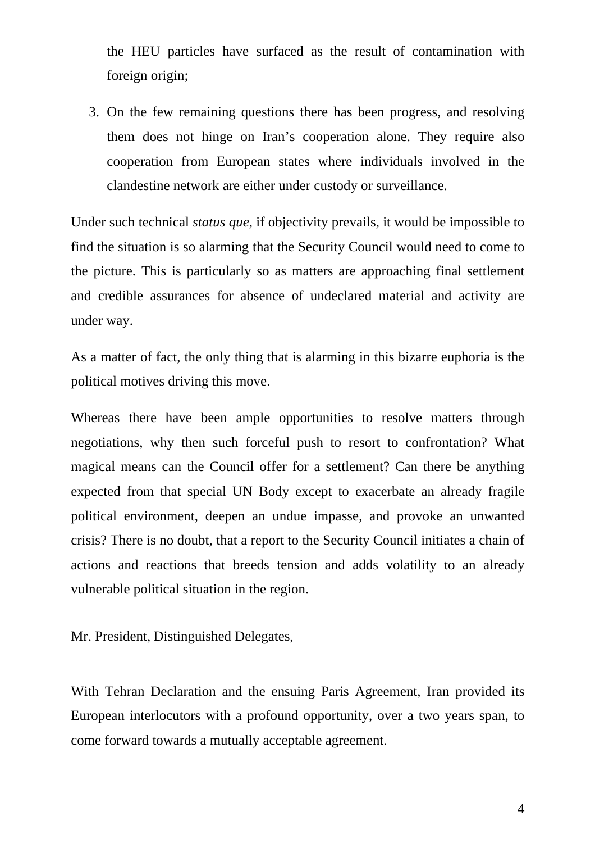the HEU particles have surfaced as the result of contamination with foreign origin;

3. On the few remaining questions there has been progress, and resolving them does not hinge on Iran's cooperation alone. They require also cooperation from European states where individuals involved in the clandestine network are either under custody or surveillance.

Under such technical *status que*, if objectivity prevails, it would be impossible to find the situation is so alarming that the Security Council would need to come to the picture. This is particularly so as matters are approaching final settlement and credible assurances for absence of undeclared material and activity are under way.

As a matter of fact, the only thing that is alarming in this bizarre euphoria is the political motives driving this move.

Whereas there have been ample opportunities to resolve matters through negotiations, why then such forceful push to resort to confrontation? What magical means can the Council offer for a settlement? Can there be anything expected from that special UN Body except to exacerbate an already fragile political environment, deepen an undue impasse, and provoke an unwanted crisis? There is no doubt, that a report to the Security Council initiates a chain of actions and reactions that breeds tension and adds volatility to an already vulnerable political situation in the region.

Mr. President, Distinguished Delegates,

With Tehran Declaration and the ensuing Paris Agreement, Iran provided its European interlocutors with a profound opportunity, over a two years span, to come forward towards a mutually acceptable agreement.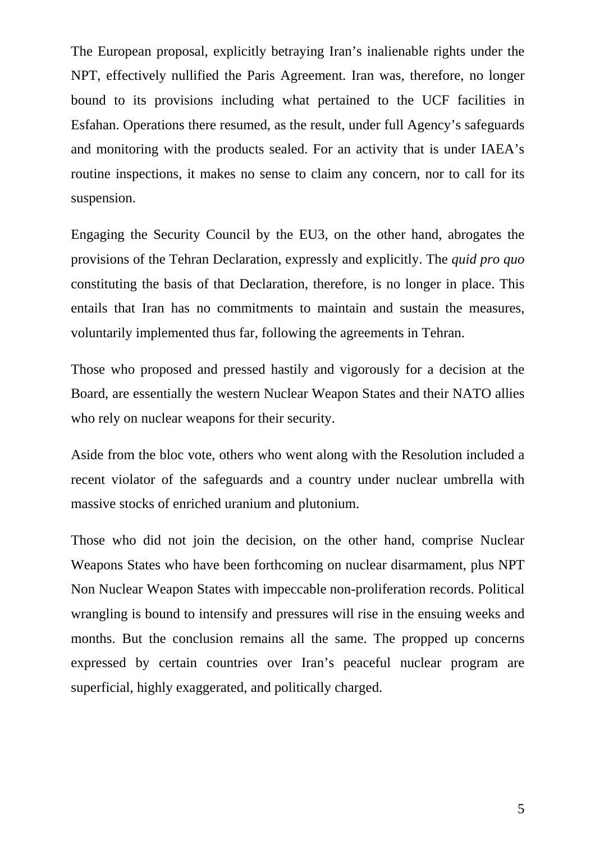The European proposal, explicitly betraying Iran's inalienable rights under the NPT, effectively nullified the Paris Agreement. Iran was, therefore, no longer bound to its provisions including what pertained to the UCF facilities in Esfahan. Operations there resumed, as the result, under full Agency's safeguards and monitoring with the products sealed. For an activity that is under IAEA's routine inspections, it makes no sense to claim any concern, nor to call for its suspension.

Engaging the Security Council by the EU3, on the other hand, abrogates the provisions of the Tehran Declaration, expressly and explicitly. The *quid pro quo*  constituting the basis of that Declaration, therefore, is no longer in place. This entails that Iran has no commitments to maintain and sustain the measures, voluntarily implemented thus far, following the agreements in Tehran.

Those who proposed and pressed hastily and vigorously for a decision at the Board, are essentially the western Nuclear Weapon States and their NATO allies who rely on nuclear weapons for their security.

Aside from the bloc vote, others who went along with the Resolution included a recent violator of the safeguards and a country under nuclear umbrella with massive stocks of enriched uranium and plutonium.

Those who did not join the decision, on the other hand, comprise Nuclear Weapons States who have been forthcoming on nuclear disarmament, plus NPT Non Nuclear Weapon States with impeccable non-proliferation records. Political wrangling is bound to intensify and pressures will rise in the ensuing weeks and months. But the conclusion remains all the same. The propped up concerns expressed by certain countries over Iran's peaceful nuclear program are superficial, highly exaggerated, and politically charged.